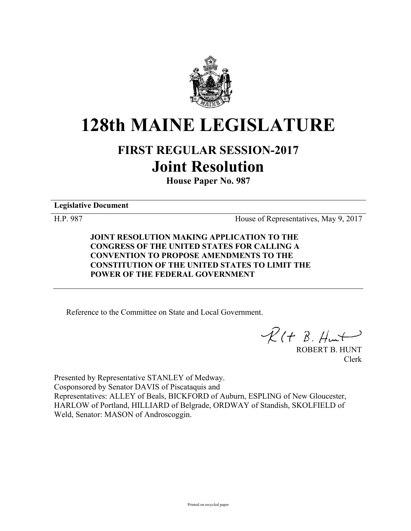

# **128th MAINE LEGISLATURE**

## **FIRST REGULAR SESSION-2017 Joint Resolution**

**House Paper No. 987**

**Legislative Document**

H.P. 987 House of Representatives, May 9, 2017

**JOINT RESOLUTION MAKING APPLICATION TO THE CONGRESS OF THE UNITED STATES FOR CALLING A CONVENTION TO PROPOSE AMENDMENTS TO THE CONSTITUTION OF THE UNITED STATES TO LIMIT THE POWER OF THE FEDERAL GOVERNMENT**

Reference to the Committee on State and Local Government.

 $\mathcal{R}(t \; \mathcal{B}, \mathcal{H}_{\mathsf{un}})$ 

ROBERT B. HUNT Clerk

Presented by Representative STANLEY of Medway. Cosponsored by Senator DAVIS of Piscataquis and Representatives: ALLEY of Beals, BICKFORD of Auburn, ESPLING of New Gloucester, HARLOW of Portland, HILLIARD of Belgrade, ORDWAY of Standish, SKOLFIELD of Weld, Senator: MASON of Androscoggin.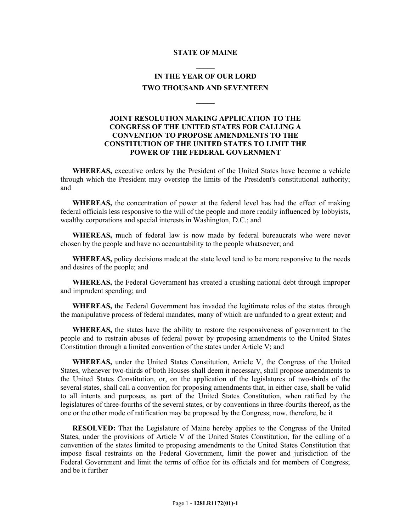### **STATE OF MAINE \_\_\_\_\_**

#### **IN THE YEAR OF OUR LORD TWO THOUSAND AND SEVENTEEN**

**\_\_\_\_\_**

#### **JOINT RESOLUTION MAKING APPLICATION TO THE CONGRESS OF THE UNITED STATES FOR CALLING A CONVENTION TO PROPOSE AMENDMENTS TO THE CONSTITUTION OF THE UNITED STATES TO LIMIT THE POWER OF THE FEDERAL GOVERNMENT**

**WHEREAS,** executive orders by the President of the United States have become a vehicle through which the President may overstep the limits of the President's constitutional authority; and

**WHEREAS,** the concentration of power at the federal level has had the effect of making federal officials less responsive to the will of the people and more readily influenced by lobbyists, wealthy corporations and special interests in Washington, D.C.; and

**WHEREAS,** much of federal law is now made by federal bureaucrats who were never chosen by the people and have no accountability to the people whatsoever; and

**WHEREAS,** policy decisions made at the state level tend to be more responsive to the needs and desires of the people; and

**WHEREAS,** the Federal Government has created a crushing national debt through improper and imprudent spending; and

**WHEREAS,** the Federal Government has invaded the legitimate roles of the states through the manipulative process of federal mandates, many of which are unfunded to a great extent; and

**WHEREAS,** the states have the ability to restore the responsiveness of government to the people and to restrain abuses of federal power by proposing amendments to the United States Constitution through a limited convention of the states under Article V; and

**WHEREAS,** under the United States Constitution, Article V, the Congress of the United States, whenever two-thirds of both Houses shall deem it necessary, shall propose amendments to the United States Constitution, or, on the application of the legislatures of two-thirds of the several states, shall call a convention for proposing amendments that, in either case, shall be valid to all intents and purposes, as part of the United States Constitution, when ratified by the legislatures of three-fourths of the several states, or by conventions in three-fourths thereof, as the one or the other mode of ratification may be proposed by the Congress; now, therefore, be it

**RESOLVED:** That the Legislature of Maine hereby applies to the Congress of the United States, under the provisions of Article V of the United States Constitution, for the calling of a convention of the states limited to proposing amendments to the United States Constitution that impose fiscal restraints on the Federal Government, limit the power and jurisdiction of the Federal Government and limit the terms of office for its officials and for members of Congress; and be it further